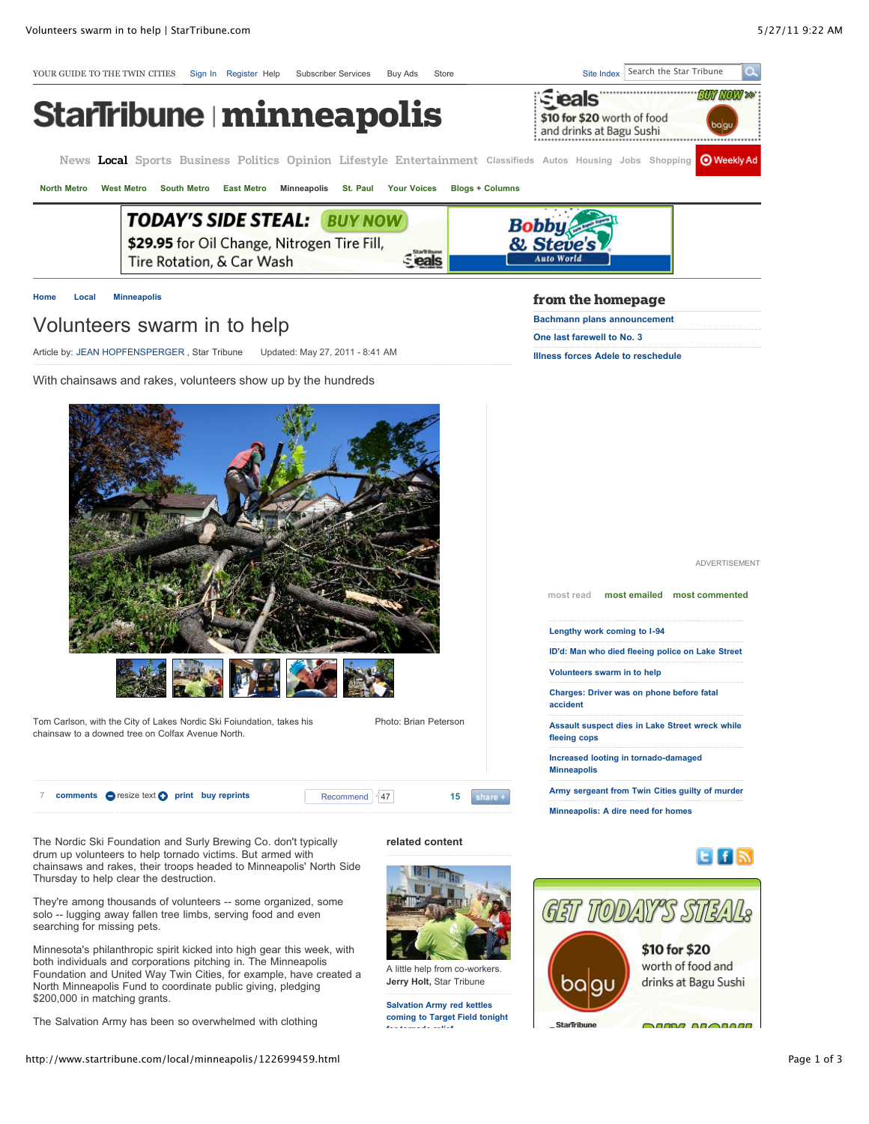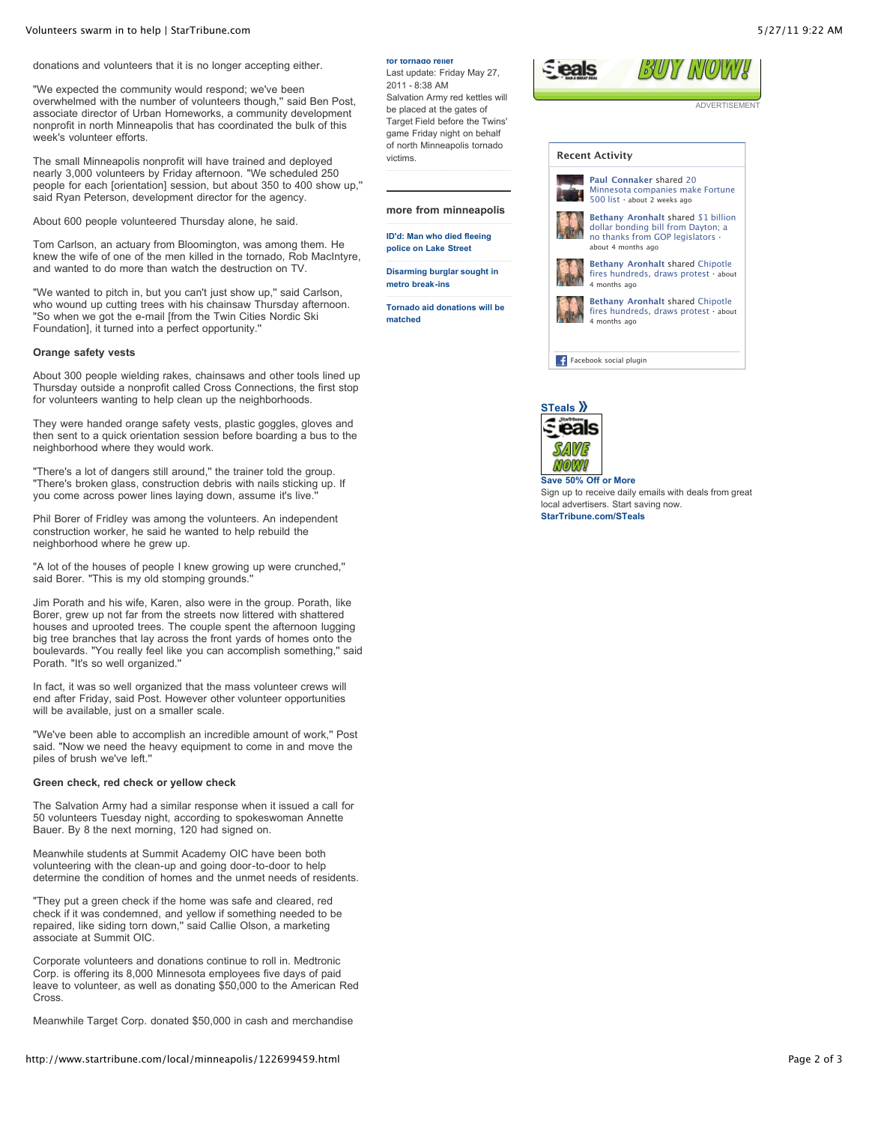donations and volunteers that it is no longer accepting either.

"We expected the community would respond; we've been overwhelmed with the number of volunteers though," said Ben Post, associate director of Urban Homeworks, a community development nonprofit in north Minneapolis that has coordinated the bulk of this week's volunteer efforts.

The small Minneapolis nonprofit will have trained and deployed nearly 3,000 volunteers by Friday afternoon. "We scheduled 250 people for each [orientation] session, but about 350 to 400 show up,'' said Ryan Peterson, development director for the agency.

About 600 people volunteered Thursday alone, he said.

Tom Carlson, an actuary from Bloomington, was among them. He knew the wife of one of the men killed in the tornado, Rob MacIntyre, and wanted to do more than watch the destruction on TV.

"We wanted to pitch in, but you can't just show up,'' said Carlson, who wound up cutting trees with his chainsaw Thursday afternoon. "So when we got the e-mail [from the Twin Cities Nordic Ski Foundation], it turned into a perfect opportunity.''

#### **Orange safety vests**

About 300 people wielding rakes, chainsaws and other tools lined up Thursday outside a nonprofit called Cross Connections, the first stop for volunteers wanting to help clean up the neighborhoods.

They were handed orange safety vests, plastic goggles, gloves and then sent to a quick orientation session before boarding a bus to the neighborhood where they would work.

"There's a lot of dangers still around,'' the trainer told the group. "There's broken glass, construction debris with nails sticking up. If you come across power lines laying down, assume it's live.

Phil Borer of Fridley was among the volunteers. An independent construction worker, he said he wanted to help rebuild the neighborhood where he grew up.

"A lot of the houses of people I knew growing up were crunched,'' said Borer. "This is my old stomping grounds.''

Jim Porath and his wife, Karen, also were in the group. Porath, like Borer, grew up not far from the streets now littered with shattered houses and uprooted trees. The couple spent the afternoon lugging big tree branches that lay across the front yards of homes onto the boulevards. "You really feel like you can accomplish something,'' said Porath. "It's so well organized.''

In fact, it was so well organized that the mass volunteer crews will end after Friday, said Post. However other volunteer opportunities will be available, just on a smaller scale.

"We've been able to accomplish an incredible amount of work,'' Post said. "Now we need the heavy equipment to come in and move the piles of brush we've left.''

### **Green check, red check or yellow check**

The Salvation Army had a similar response when it issued a call for 50 volunteers Tuesday night, according to spokeswoman Annette Bauer. By 8 the next morning, 120 had signed on.

Meanwhile students at Summit Academy OIC have been both volunteering with the clean-up and going door-to-door to help determine the condition of homes and the unmet needs of residents.

"They put a green check if the home was safe and cleared, red check if it was condemned, and yellow if something needed to be repaired, like siding torn down," said Callie Olson, a marketing associate at Summit OIC.

Corporate volunteers and donations continue to roll in. Medtronic Corp. is offering its 8,000 Minnesota employees five days of paid leave to volunteer, as well as donating \$50,000 to the American Red **Cross**.

Meanwhile Target Corp. donated \$50,000 in cash and merchandise

## עלארוסוויגרוואל אינו *Eleals*

**[for tornado relief](http://www.startribune.com/local/122717569.html)** Last update: Friday May 27,

2011 - 8:38 AM

victims.

**matched**

Salvation Army red kettles will be placed at the gates of Target Field before the Twins' game Friday night on behalf of north Minneapolis tornado

**more from minneapolis [ID'd: Man who died fleeing](http://www.startribune.com/local/minneapolis/122716194.html) police on Lake Street [Disarming burglar sought in](http://www.startribune.com/local/west/122663344.html) metro break-ins**

**[Tornado aid donations will be](http://www.startribune.com/local/minneapolis/122699629.html)**

ADVERTISEMENT





Sign up to receive daily emails with deals from great local advertisers. Start saving now. **[StarTribune.com/STeals](http://steals.startribune.com/?pcode=signup&source=promomodule)**